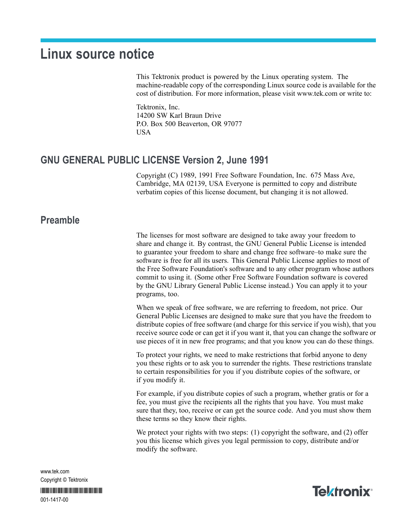# **Linux source notice**

This Tektronix product is powered by the Linux operating system. The machine-readable copy of the corresponding Linux source code is available for the cost of distribution. For more information, please visit [www.tek.com](http://www.tektronix.com/) or write to:

Tektronix, Inc. 14200 SW Karl Braun Drive P.O. Box 500 Beaverton, OR 97077 USA

### **GNU GENERAL PUBLIC LICENSE Version 2, June 1991**

Copyright (C) 1989, 1991 Free Software Foundation, Inc. 675 Mass Ave, Cambridge, MA 02139, USA Everyone is permitted to copy and distribute verbatim copies of this license document, but changing it is not allowed.

#### **Preamble**

The licenses for most software are designed to take away your freedom to share and change it. By contrast, the GNU General Public License is intended to guarantee your freedom to share and change free software–to make sure the software is free for all its users. This General Public License applies to most of the Free Software Foundation's software and to any other program whose authors commit to using it. (Some other Free Software Foundation software is covered by the GNU Library General Public License instead.) You can apply it to your programs, too.

When we speak of free software, we are referring to freedom, not price. Our General Public Licenses are designed to make sure that you have the freedom to distribute copies of free software (and charge for this service if you wish), that you receive source code or can get it if you want it, that you can change the software or use pieces of it in new free programs; and that you know you can do these things.

To protect your rights, we need to make restrictions that forbid anyone to deny you these rights or to ask you to surrender the rights. These restrictions translate to certain responsibilities for you if you distribute copies of the software, or if you modify it.

For example, if you distribute copies of such a program, whether gratis or for a fee, you must give the recipients all the rights that you have. You must make sure that they, too, receive or can get the source code. And you must show them these terms so they know their rights.

We protect your rights with two steps: (1) copyright the software, and (2) offer you this license which gives you legal permission to copy, distribute and/or modify the software.

www.tek.com Copyright © Tektronix

\*P001141700\* 001-1417-00

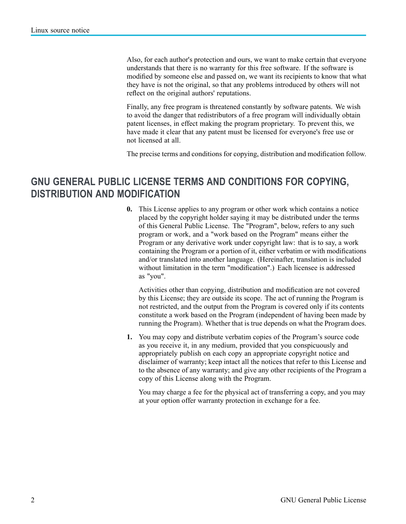Also, for each author's protection and ours, we want to make certain that everyone understands that there is no warranty for this free software. If the software is modified by someone else and passed on, we want its recipients to know that what they have is not the original, so that any problems introduced by others will not reflect on the original authors' reputations.

Finally, any free program is threatened constantly by software patents. We wish to avoid the danger that redistributors of a free program will individually obtain patent licenses, in effect making the program proprietary. To prevent this, we have made it clear that any patent must be licensed for everyone's free use or not licensed at all.

The precise terms and conditions for copying, distribution and modification follow.

## **GNU GENERAL PUBLIC LICENSE TERMS AND CONDITIONS FOR COPYING, DISTRIBUTION AND MODIFICATION**

**0.** This License applies to any program or other work which contains a notice placed by the copyright holder saying it may be distributed under the terms of this General Public License. The "Program", below, refers to any such program or work, and a "work based on the Program" means either the Program or any derivative work under copyright law: that is to say, a work containing the Program or a portion of it, either verbatim or with modifications and/or translated into another language. (Hereinafter, translation is included without limitation in the term "modification".) Each licensee is addressed as "you".

Activities other than copying, distribution and modification are not covered by this License; they are outside its scope. The act of running the Program is not restricted, and the output from the Program is covered only if its contents constitute a work based on the Program (independent of having been made by running the Program). Whether that is true depends on what the Program does.

**1.** You may copy and distribute verbatim copies of the Program's source code as you receive it, in any medium, provided that you conspicuously and appropriately publish on each copy an appropriate copyright notice and disclaimer of warranty; keep intact all the notices that refer to this License and to the absence of any warranty; and give any other recipients of the Program a copy of this License along with the Program.

You may charge a fee for the physical act of transferring a copy, and you may at your option offer warranty protection in exchange for a fee.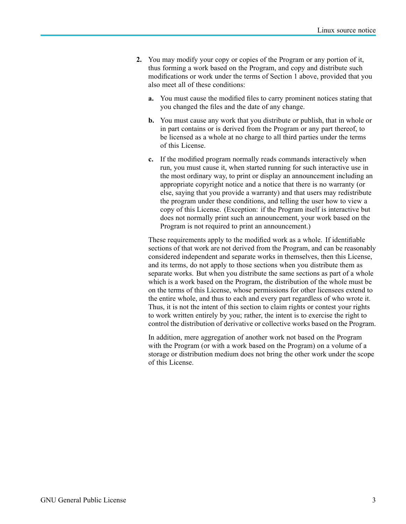- **2.** You may modify your copy or copies of the Program or any portion of it, thus forming a work based on the Program, and copy and distribute such modifications or work under the terms of Section 1 above, provided that you also meet all of these conditions:
	- **a.** You must cause the modified files to carry prominent notices stating that you changed the files and the date of any change.
	- **b.** You must cause any work that you distribute or publish, that in whole or in part contains or is derived from the Program or any part thereof, to be licensed as a whole at no charge to all third parties under the terms of this License.
	- **c.** If the modified program normally reads commands interactively when run, you must cause it, when started running for such interactive use in the most ordinary way, to print or display an announcement including an appropriate copyright notice and a notice that there is no warranty (or else, saying that you provide a warranty) and that users may redistribute the program under these conditions, and telling the user how to view a copy of this License. (Exception: if the Program itself is interactive but does not normally print such an announcement, your work based on the Program is not required to print an announcement.)

These requirements apply to the modified work as a whole. If identifiable sections of that work are not derived from the Program, and can be reasonably considered independent and separate works in themselves, then this License, and its terms, do not apply to those sections when you distribute them as separate works. But when you distribute the same sections as part of a whole which is a work based on the Program, the distribution of the whole must be on the terms of this License, whose permissions for other licensees extend to the entire whole, and thus to each and every part regardless of who wrote it. Thus, it is not the intent of this section to claim rights or contest your rights to work written entirely by you; rather, the intent is to exercise the right to control the distribution of derivative or collective works based on the Program.

In addition, mere aggregation of another work not based on the Program with the Program (or with a work based on the Program) on a volume of a storage or distribution medium does not bring the other work under the scope of this License.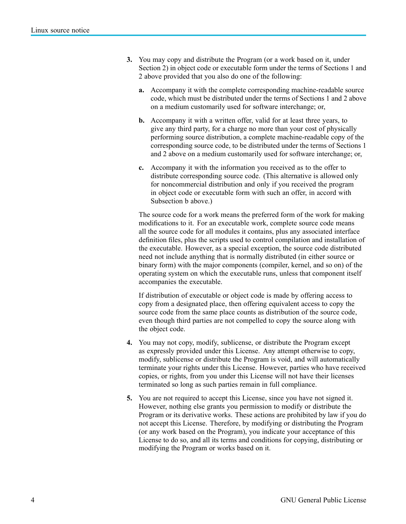- **3.** You may copy and distribute the Program (or a work based on it, under Section 2) in object code or executable form under the terms of Sections 1 and 2 above provided that you also do one of the following:
	- **a.** Accompany it with the complete corresponding machine-readable source code, which must be distributed under the terms of Sections 1 and 2 above on a medium customarily used for software interchange; or,
	- **b.** Accompany it with a written offer, valid for at least three years, to give any third party, for a charge no more than your cost of physically performing source distribution, a complete machine-readable copy of the corresponding source code, to be distributed under the terms of Sections 1 and 2 above on a medium customarily used for software interchange; or,
	- **c.** Accompany it with the information you received as to the offer to distribute corresponding source code. (This alternative is allowed only for noncommercial distribution and only if you received the program in object code or executable form with such an offer, in accord with Subsection b above.)

The source code for a work means the preferred form of the work for making modifications to it. For an executable work, complete source code means all the source code for all modules it contains, plus any associated interface definition files, plus the scripts used to control compilation and installation of the executable. However, as a special exception, the source code distributed need not include anything that is normally distributed (in either source or binary form) with the major components (compiler, kernel, and so on) of the operating system on which the executable runs, unless that component itself accompanies the executable.

If distribution of executable or object code is made by offering access to copy from a designated place, then offering equivalent access to copy the source code from the same place counts as distribution of the source code, even though third parties are not compelled to copy the source along with the object code.

- **4.** You may not copy, modify, sublicense, or distribute the Program except as expressly provided under this License. Any attempt otherwise to copy, modify, sublicense or distribute the Program is void, and will automatically terminate your rights under this License. However, parties who have received copies, or rights, from you under this License will not have their licenses terminated so long as such parties remain in full compliance.
- **5.** You are not required to accept this License, since you have not signed it. However, nothing else grants you permission to modify or distribute the Program or its derivative works. These actions are prohibited by law if you do not accept this License. Therefore, by modifying or distributing the Program (or any work based on the Program), you indicate your acceptance of this License to do so, and all its terms and conditions for copying, distributing or modifying the Program or works based on it.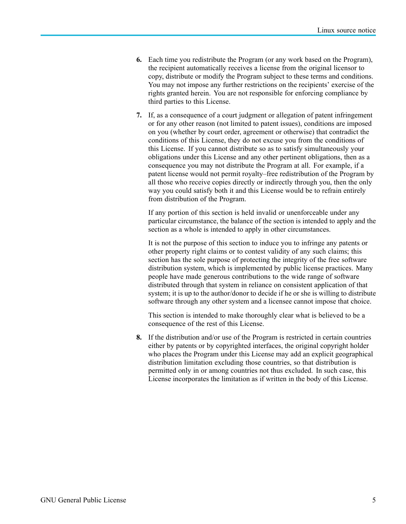- **6.** Each time you redistribute the Program (or any work based on the Program), the recipient automatically receives a license from the original licensor to copy, distribute or modify the Program subject to these terms and conditions. You may not impose any further restrictions on the recipients' exercise of the rights granted herein. You are not responsible for enforcing compliance by third parties to this License.
- **7.** If, as a consequence of a court judgment or allegation of patent infringement or for any other reason (not limited to patent issues), conditions are imposed on you (whether by court order, agreement or otherwise) that contradict the conditions of this License, they do not excuse you from the conditions of this License. If you cannot distribute so as to satisfy simultaneously your obligations under this License and any other pertinent obligations, then as a consequence you may not distribute the Program at all. For example, if a patent license would not permit royalty–free redistribution of the Program by all those who receive copies directly or indirectly through you, then the only way you could satisfy both it and this License would be to refrain entirely from distribution of the Program.

If any portion of this section is held invalid or unenforceable under any particular circumstance, the balance of the section is intended to apply and the section as a whole is intended to apply in other circumstances.

It is not the purpose of this section to induce you to infringe any patents or other property right claims or to contest validity of any such claims; this section has the sole purpose of protecting the integrity of the free software distribution system, which is implemented by public license practices. Many people have made generous contributions to the wide range of software distributed through that system in reliance on consistent application of that system; it is up to the author/donor to decide if he or she is willing to distribute software through any other system and a licensee cannot impose that choice.

This section is intended to make thoroughly clear what is believed to be a consequence of the rest of this License.

**8.** If the distribution and/or use of the Program is restricted in certain countries either by patents or by copyrighted interfaces, the original copyright holder who places the Program under this License may add an explicit geographical distribution limitation excluding those countries, so that distribution is permitted only in or among countries not thus excluded. In such case, this License incorporates the limitation as if written in the body of this License.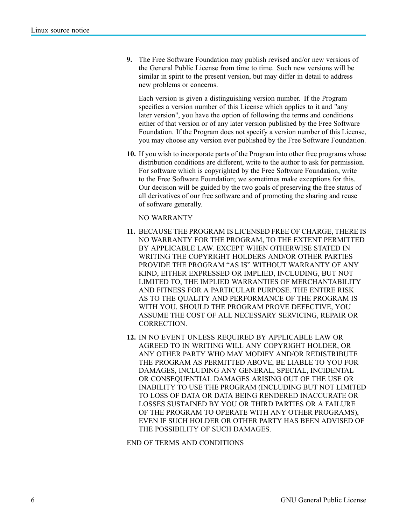**9.** The Free Software Foundation may publish revised and/or new versions of the General Public License from time to time. Such new versions will be similar in spirit to the present version, but may differ in detail to address new problems or concerns.

Each version is given a distinguishing version number. If the Program specifies a version number of this License which applies to it and "any later version", you have the option of following the terms and conditions either of that version or of any later version published by the Free Software Foundation. If the Program does not specify a version number of this License, you may choose any version ever published by the Free Software Foundation.

**10.** If you wish to incorporate parts of the Program into other free programs whose distribution conditions are different, write to the author to ask for permission. For software which is copyrighted by the Free Software Foundation, write to the Free Software Foundation; we sometimes make exceptions for this. Our decision will be guided by the two goals of preserving the free status of all derivatives of our free software and of promoting the sharing and reuse of software generally.

NO WARRANTY

- **11.** BECAUSE THE PROGRAM IS LICENSED FREE OF CHARGE, THERE IS NO WARRANTY FOR THE PROGRAM, TO THE EXTENT PERMITTED BY APPLICABLE LAW. EXCEPT WHEN OTHERWISE STATED IN WRITING THE COPYRIGHT HOLDERS AND/OR OTHER PARTIES PROVIDE THE PROGRAM "AS IS" WITHOUT WARRANTY OF ANY KIND, EITHER EXPRESSED OR IMPLIED, INCLUDING, BUT NOT LIMITED TO, THE IMPLIED WARRANTIES OF MERCHANTABILITY AND FITNESS FOR A PARTICULAR PURPOSE. THE ENTIRE RISK AS TO THE QUALITY AND PERFORMANCE OF THE PROGRAM IS WITH YOU. SHOULD THE PROGRAM PROVE DEFECTIVE, YOU ASSUME THE COST OF ALL NECESSARY SERVICING, REPAIR OR CORRECTION.
- **12.** IN NO EVENT UNLESS REQUIRED BY APPLICABLE LAW OR AGREED TO IN WRITING WILL ANY COPYRIGHT HOLDER, OR ANY OTHER PARTY WHO MAY MODIFY AND/OR REDISTRIBUTE THE PROGRAM AS PERMITTED ABOVE, BE LIABLE TO YOU FOR DAMAGES, INCLUDING ANY GENERAL, SPECIAL, INCIDENTAL OR CONSEQUENTIAL DAMAGES ARISING OUT OF THE USE OR INABILITY TO USE THE PROGRAM (INCLUDING BUT NOT LIMITED TO LOSS OF DATA OR DATA BEING RENDERED INACCURATE OR LOSSES SUSTAINED BY YOU OR THIRD PARTIES OR A FAILURE OF THE PROGRAM TO OPERATE WITH ANY OTHER PROGRAMS), EVEN IF SUCH HOLDER OR OTHER PARTY HAS BEEN ADVISED OF THE POSSIBILITY OF SUCH DAMAGES.

END OF TERMS AND CONDITIONS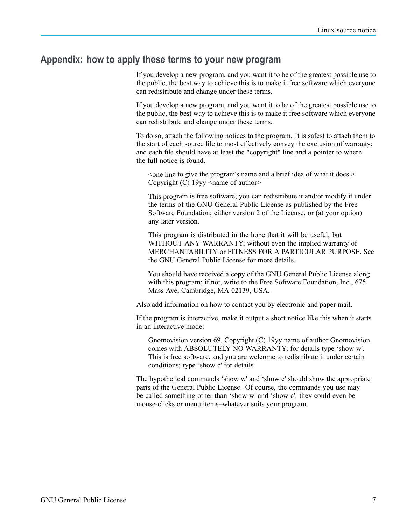#### **Appendix: how to apply these terms to your new program**

If you develop a new program, and you want it to be of the greatest possible use to the public, the best way to achieve this is to make it free software which everyone can redistribute and change under these terms.

If you develop a new program, and you want it to be of the greatest possible use to the public, the best way to achieve this is to make it free software which everyone can redistribute and change under these terms.

To do so, attach the following notices to the program. It is safest to attach them to the start of each source file to most effectively convey the exclusion of warranty; and each file should have at least the "copyright" line and a pointer to where the full notice is found.

<one line to give the program's name and a brief idea of what it does.> Copyright (C)  $19yy \leq$  rame of author

This program is free software; you can redistribute it and/or modify it under the terms of the GNU General Public License as published by the Free Software Foundation; either version 2 of the License, or (at your option) any later version.

This program is distributed in the hope that it will be useful, but WITHOUT ANY WARRANTY; without even the implied warranty of MERCHANTABILITY or FITNESS FOR A PARTICULAR PURPOSE. See the GNU General Public License for more details.

You should have received a copy of the GNU General Public License along with this program; if not, write to the Free Software Foundation, Inc., 675 Mass Ave, Cambridge, MA 02139, USA.

Also add information on how to contact you by electronic and paper mail.

If the program is interactive, make it output a short notice like this when it starts in an interactive mode:

Gnomovision version 69, Copyright (C) 19yy name of author Gnomovision comes with ABSOLUTELY NO WARRANTY; for details type 'show w'. This is free software, and you are welcome to redistribute it under certain conditions; type 'show c' for details.

The hypothetical commands 'show w' and 'show c' should show the appropriate parts of the General Public License. Of course, the commands you use may be called something other than 'show w' and 'show c'; they could even be mouse-clicks or menu items–whatever suits your program.